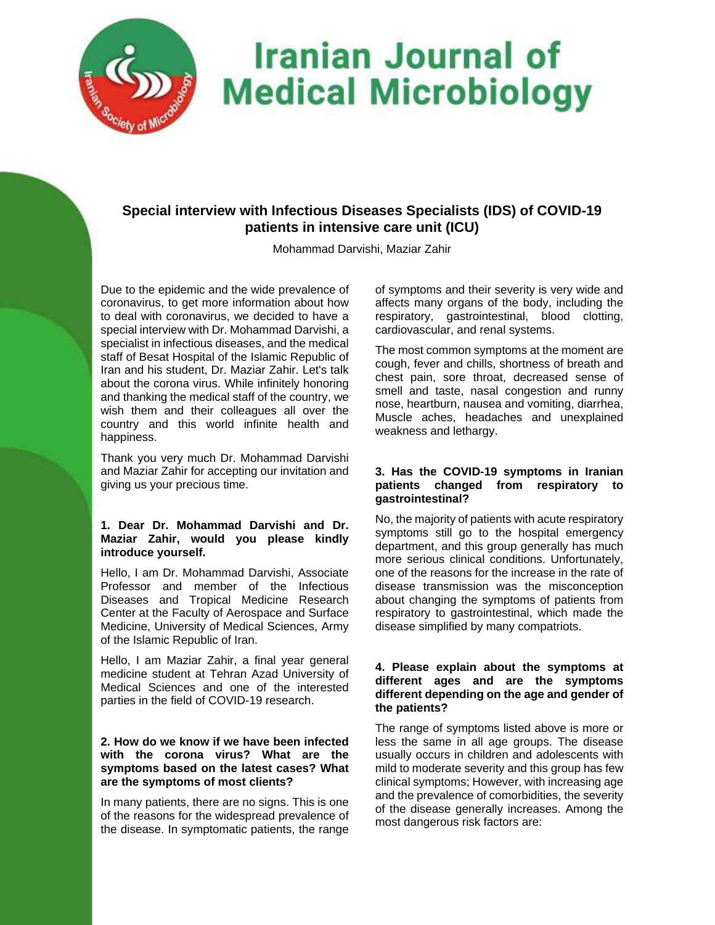

# **Special interview with Infectious Diseases Specialists (IDS) of COVID-19 patients in intensive care unit (ICU)**

Mohammad Darvishi, Maziar Zahir

Due to the epidemic and the wide prevalence of coronavirus, to get more information about how to deal with coronavirus, we decided to have a special interview with Dr. Mohammad Darvishi, a specialist in infectious diseases, and the medical staff of Besat Hospital of the Islamic Republic of Iran and his student, Dr. Maziar Zahir. Let's talk about the corona virus. While infinitely honoring and thanking the medical staff of the country, we wish them and their colleagues all over the country and this world infinite health and happiness.

Thank you very much Dr. Mohammad Darvishi and Maziar Zahir for accepting our invitation and giving us your precious time.

## **1. Dear Dr. Mohammad Darvishi and Dr. Maziar Zahir, would you please kindly introduce yourself.**

Hello, I am Dr. Mohammad Darvishi, Associate Professor and member of the Infectious Diseases and Tropical Medicine Research Center at the Faculty of Aerospace and Surface Medicine, University of Medical Sciences, Army of the Islamic Republic of Iran.

Hello, I am Maziar Zahir, a final year general medicine student at Tehran Azad University of Medical Sciences and one of the interested parties in the field of COVID-19 research.

### **2. How do we know if we have been infected with the corona virus? What are the symptoms based on the latest cases? What are the symptoms of most clients?**

In many patients, there are no signs. This is one of the reasons for the widespread prevalence of the disease. In symptomatic patients, the range

of symptoms and their severity is very wide and affects many organs of the body, including the respiratory, gastrointestinal, blood clotting, cardiovascular, and renal systems.

The most common symptoms at the moment are cough, fever and chills, shortness of breath and chest pain, sore throat, decreased sense of smell and taste, nasal congestion and runny nose, heartburn, nausea and vomiting, diarrhea, Muscle aches, headaches and unexplained weakness and lethargy.

## **3. Has the COVID-19 symptoms in Iranian patients changed from respiratory to gastrointestinal?**

No, the majority of patients with acute respiratory symptoms still go to the hospital emergency department, and this group generally has much more serious clinical conditions. Unfortunately, one of the reasons for the increase in the rate of disease transmission was the misconception about changing the symptoms of patients from respiratory to gastrointestinal, which made the disease simplified by many compatriots.

#### **4. Please explain about the symptoms at different ages and are the symptoms different depending on the age and gender of the patients?**

The range of symptoms listed above is more or less the same in all age groups. The disease usually occurs in children and adolescents with mild to moderate severity and this group has few clinical symptoms; However, with increasing age and the prevalence of comorbidities, the severity of the disease generally increases. Among the most dangerous risk factors are: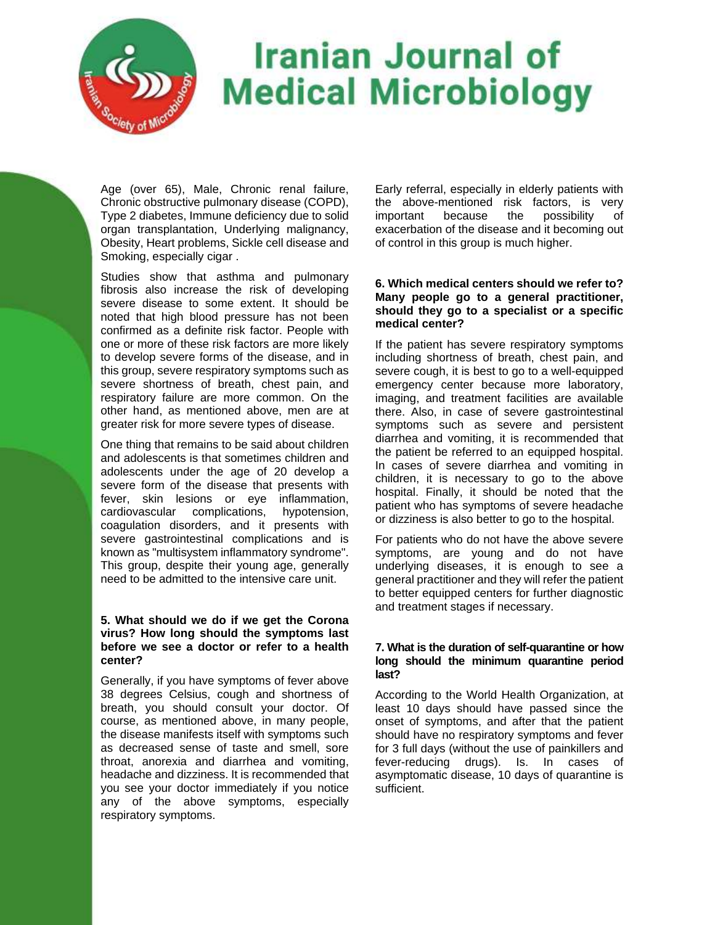

Age (over 65), Male, Chronic renal failure, Chronic obstructive pulmonary disease (COPD), Type 2 diabetes, Immune deficiency due to solid organ transplantation, Underlying malignancy, Obesity, Heart problems, Sickle cell disease and Smoking, especially cigar .

Studies show that asthma and pulmonary fibrosis also increase the risk of developing severe disease to some extent. It should be noted that high blood pressure has not been confirmed as a definite risk factor. People with one or more of these risk factors are more likely to develop severe forms of the disease, and in this group, severe respiratory symptoms such as severe shortness of breath, chest pain, and respiratory failure are more common. On the other hand, as mentioned above, men are at greater risk for more severe types of disease.

One thing that remains to be said about children and adolescents is that sometimes children and adolescents under the age of 20 develop a severe form of the disease that presents with fever, skin lesions or eye inflammation, cardiovascular complications, hypotension, coagulation disorders, and it presents with severe gastrointestinal complications and is known as "multisystem inflammatory syndrome". This group, despite their young age, generally need to be admitted to the intensive care unit.

## **5. What should we do if we get the Corona virus? How long should the symptoms last before we see a doctor or refer to a health center?**

Generally, if you have symptoms of fever above 38 degrees Celsius, cough and shortness of breath, you should consult your doctor. Of course, as mentioned above, in many people, the disease manifests itself with symptoms such as decreased sense of taste and smell, sore throat, anorexia and diarrhea and vomiting, headache and dizziness. It is recommended that you see your doctor immediately if you notice any of the above symptoms, especially respiratory symptoms.

Early referral, especially in elderly patients with the above-mentioned risk factors, is very important because the possibility of exacerbation of the disease and it becoming out of control in this group is much higher.

## **6. Which medical centers should we refer to? Many people go to a general practitioner, should they go to a specialist or a specific medical center?**

If the patient has severe respiratory symptoms including shortness of breath, chest pain, and severe cough, it is best to go to a well-equipped emergency center because more laboratory, imaging, and treatment facilities are available there. Also, in case of severe gastrointestinal symptoms such as severe and persistent diarrhea and vomiting, it is recommended that the patient be referred to an equipped hospital. In cases of severe diarrhea and vomiting in children, it is necessary to go to the above hospital. Finally, it should be noted that the patient who has symptoms of severe headache or dizziness is also better to go to the hospital.

For patients who do not have the above severe symptoms, are young and do not have underlying diseases, it is enough to see a general practitioner and they will refer the patient to better equipped centers for further diagnostic and treatment stages if necessary.

## **7. What is the duration of self-quarantine or how long should the minimum quarantine period last?**

According to the World Health Organization, at least 10 days should have passed since the onset of symptoms, and after that the patient should have no respiratory symptoms and fever for 3 full days (without the use of painkillers and fever-reducing drugs). Is. In cases of asymptomatic disease, 10 days of quarantine is sufficient.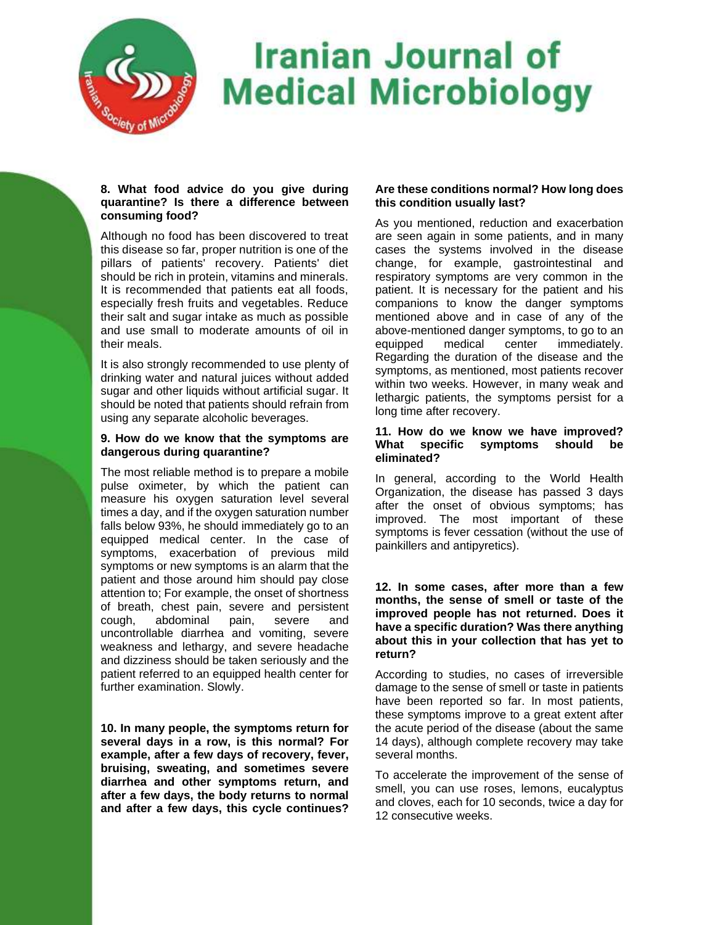

### **8. What food advice do you give during quarantine? Is there a difference between consuming food?**

Although no food has been discovered to treat this disease so far, proper nutrition is one of the pillars of patients' recovery. Patients' diet should be rich in protein, vitamins and minerals. It is recommended that patients eat all foods, especially fresh fruits and vegetables. Reduce their salt and sugar intake as much as possible and use small to moderate amounts of oil in their meals.

It is also strongly recommended to use plenty of drinking water and natural juices without added sugar and other liquids without artificial sugar. It should be noted that patients should refrain from using any separate alcoholic beverages.

## **9. How do we know that the symptoms are dangerous during quarantine?**

The most reliable method is to prepare a mobile pulse oximeter, by which the patient can measure his oxygen saturation level several times a day, and if the oxygen saturation number falls below 93%, he should immediately go to an equipped medical center. In the case of symptoms, exacerbation of previous mild symptoms or new symptoms is an alarm that the patient and those around him should pay close attention to; For example, the onset of shortness of breath, chest pain, severe and persistent cough, abdominal pain, severe and uncontrollable diarrhea and vomiting, severe weakness and lethargy, and severe headache and dizziness should be taken seriously and the patient referred to an equipped health center for further examination. Slowly.

**10. In many people, the symptoms return for several days in a row, is this normal? For example, after a few days of recovery, fever, bruising, sweating, and sometimes severe diarrhea and other symptoms return, and after a few days, the body returns to normal and after a few days, this cycle continues?** 

# **Are these conditions normal? How long does this condition usually last?**

As you mentioned, reduction and exacerbation are seen again in some patients, and in many cases the systems involved in the disease change, for example, gastrointestinal and respiratory symptoms are very common in the patient. It is necessary for the patient and his companions to know the danger symptoms mentioned above and in case of any of the above-mentioned danger symptoms, to go to an equipped medical center immediately. Regarding the duration of the disease and the symptoms, as mentioned, most patients recover within two weeks. However, in many weak and lethargic patients, the symptoms persist for a long time after recovery.

## **11. How do we know we have improved? What specific symptoms should be eliminated?**

In general, according to the World Health Organization, the disease has passed 3 days after the onset of obvious symptoms; has improved. The most important of these symptoms is fever cessation (without the use of painkillers and antipyretics).

### **12. In some cases, after more than a few months, the sense of smell or taste of the improved people has not returned. Does it have a specific duration? Was there anything about this in your collection that has yet to return?**

According to studies, no cases of irreversible damage to the sense of smell or taste in patients have been reported so far. In most patients, these symptoms improve to a great extent after the acute period of the disease (about the same 14 days), although complete recovery may take several months.

To accelerate the improvement of the sense of smell, you can use roses, lemons, eucalyptus and cloves, each for 10 seconds, twice a day for 12 consecutive weeks.